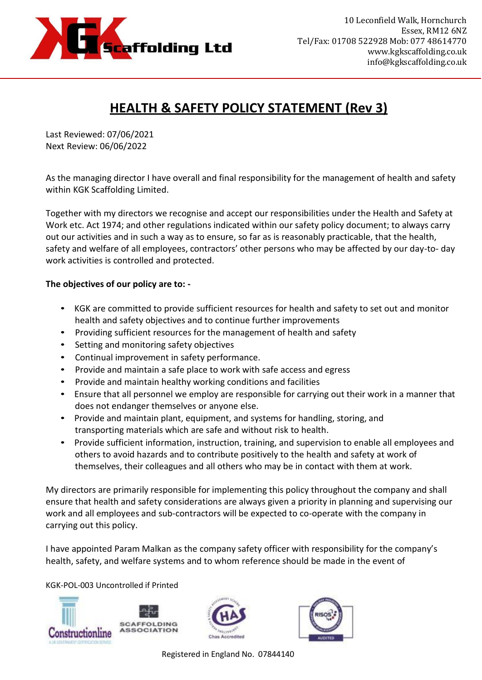

## **HEALTH & SAFETY POLICY STATEMENT (Rev 3)**

Last Reviewed: 07/06/2021 Next Review: 06/06/2022

As the managing director I have overall and final responsibility for the management of health and safety within KGK Scaffolding Limited.

Together with my directors we recognise and accept our responsibilities under the Health and Safety at Work etc. Act 1974; and other regulations indicated within our safety policy document; to always carry out our activities and in such a way as to ensure, so far as is reasonably practicable, that the health, safety and welfare of all employees, contractors' other persons who may be affected by our day-to- day work activities is controlled and protected.

## **The objectives of our policy are to: -**

- KGK are committed to provide sufficient resources for health and safety to set out and monitor health and safety objectives and to continue further improvements
- Providing sufficient resources for the management of health and safety
- Setting and monitoring safety objectives
- Continual improvement in safety performance.
- Provide and maintain a safe place to work with safe access and egress
- Provide and maintain healthy working conditions and facilities
- Ensure that all personnel we employ are responsible for carrying out their work in a manner that does not endanger themselves or anyone else.
- Provide and maintain plant, equipment, and systems for handling, storing, and transporting materials which are safe and without risk to health.
- Provide sufficient information, instruction, training, and supervision to enable all employees and others to avoid hazards and to contribute positively to the health and safety at work of themselves, their colleagues and all others who may be in contact with them at work.

My directors are primarily responsible for implementing this policy throughout the company and shall ensure that health and safety considerations are always given a priority in planning and supervising our work and all employees and sub-contractors will be expected to co-operate with the company in carrying out this policy.

I have appointed Param Malkan as the company safety officer with responsibility for the company's health, safety, and welfare systems and to whom reference should be made in the event of

KGK-POL-003 Uncontrolled if Printed







Registered in England No. 07844140